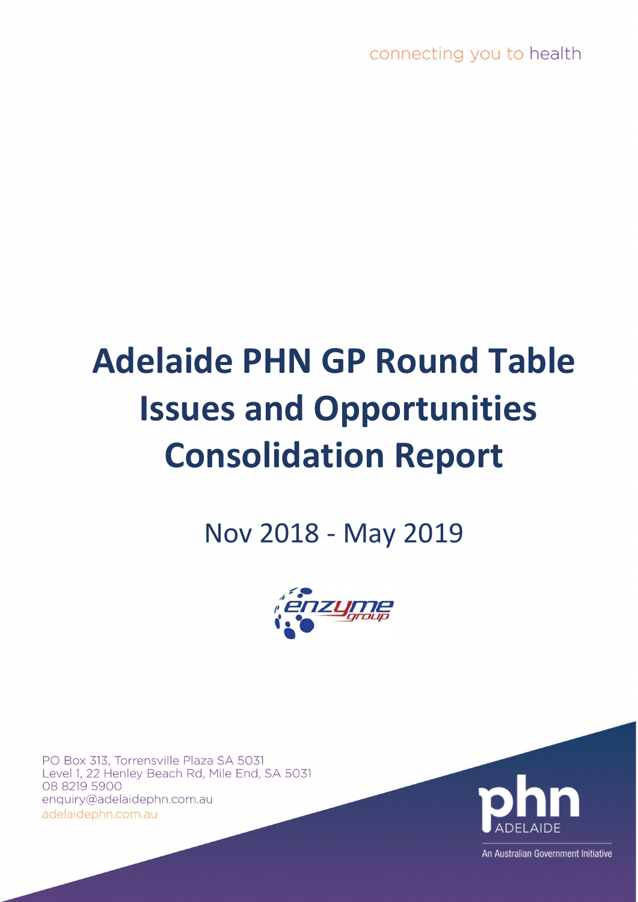# **Adelaide PHN GP Round Table Issues and Opportunities Consolidation Report**

Nov 2018 - May 2019



PO Box 313, Torrensville Plaza SA 5031 Level 1, 22 Henley Beach Rd, Mile End, SA 5031 08 8219 5900 enquiry@adelaidephn.com.au adelaidephn.com.au



An Australian Government Initiative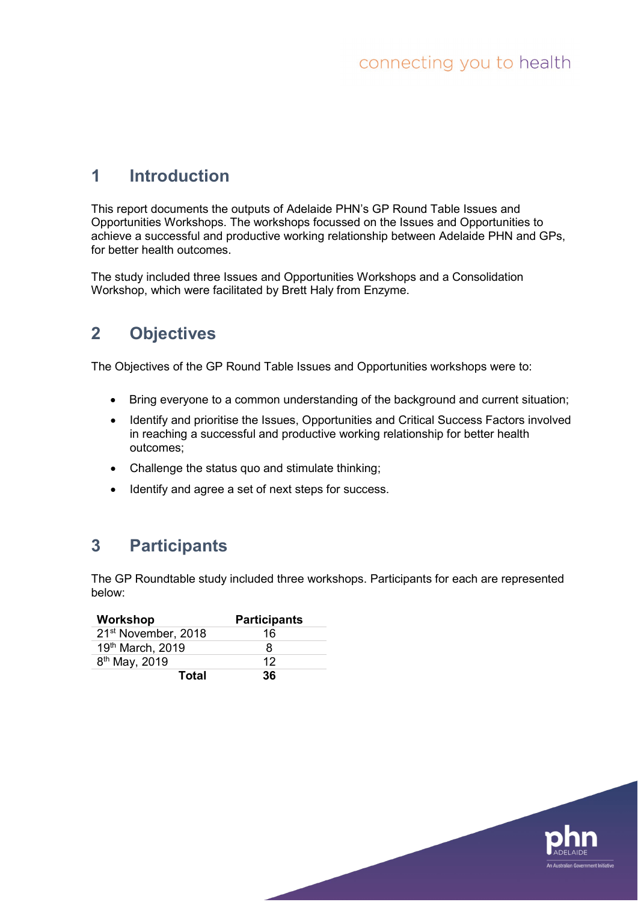# **1 Introduction**

This report documents the outputs of Adelaide PHN's GP Round Table Issues and Opportunities Workshops. The workshops focussed on the Issues and Opportunities to achieve a successful and productive working relationship between Adelaide PHN and GPs, for better health outcomes.

The study included three Issues and Opportunities Workshops and a Consolidation Workshop, which were facilitated by Brett Haly from Enzyme.

# **2 Objectives**

The Objectives of the GP Round Table Issues and Opportunities workshops were to:

- Bring everyone to a common understanding of the background and current situation;
- Identify and prioritise the Issues, Opportunities and Critical Success Factors involved in reaching a successful and productive working relationship for better health outcomes;
- Challenge the status quo and stimulate thinking;
- Identify and agree a set of next steps for success.

# **3 Participants**

The GP Roundtable study included three workshops. Participants for each are represented below:

| Workshop                        | <b>Participants</b> |
|---------------------------------|---------------------|
| 21 <sup>st</sup> November, 2018 | 16                  |
| 19th March, 2019                | 8                   |
| 8 <sup>th</sup> May, 2019       | 12                  |
| <b>Total</b>                    | 36                  |

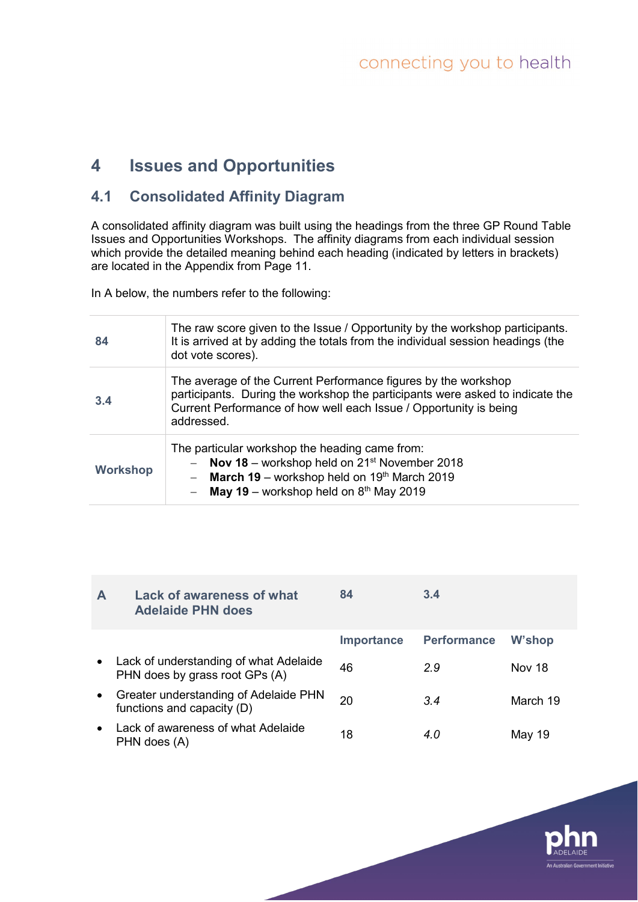# **4 Issues and Opportunities**

# **4.1 Consolidated Affinity Diagram**

A consolidated affinity diagram was built using the headings from the three GP Round Table Issues and Opportunities Workshops. The affinity diagrams from each individual session which provide the detailed meaning behind each heading (indicated by letters in brackets) are located in the Appendix from Page 11.

In A below, the numbers refer to the following:

| 84              | The raw score given to the Issue / Opportunity by the workshop participants.<br>It is arrived at by adding the totals from the individual session headings (the<br>dot vote scores).                                               |
|-----------------|------------------------------------------------------------------------------------------------------------------------------------------------------------------------------------------------------------------------------------|
| 3.4             | The average of the Current Performance figures by the workshop<br>participants. During the workshop the participants were asked to indicate the<br>Current Performance of how well each Issue / Opportunity is being<br>addressed. |
| <b>Workshop</b> | The particular workshop the heading came from:<br>Nov 18 – workshop held on $21st$ November 2018<br><b>March 19</b> – workshop held on $19th$ March 2019<br><b>May 19</b> – workshop held on $8th$ May 2019                        |

| $\mathsf{A}$ | <b>Lack of awareness of what</b><br><b>Adelaide PHN does</b>               | 84                | 3.4                |               |
|--------------|----------------------------------------------------------------------------|-------------------|--------------------|---------------|
|              |                                                                            | <b>Importance</b> | <b>Performance</b> | W'shop        |
|              | • Lack of understanding of what Adelaide<br>PHN does by grass root GPs (A) | 46                | 2.9                | <b>Nov 18</b> |
| $\bullet$    | Greater understanding of Adelaide PHN<br>functions and capacity (D)        | 20                | 3.4                | March 19      |
|              | • Lack of awareness of what Adelaide<br>PHN does (A)                       | 18                | 4.0                | May 19        |

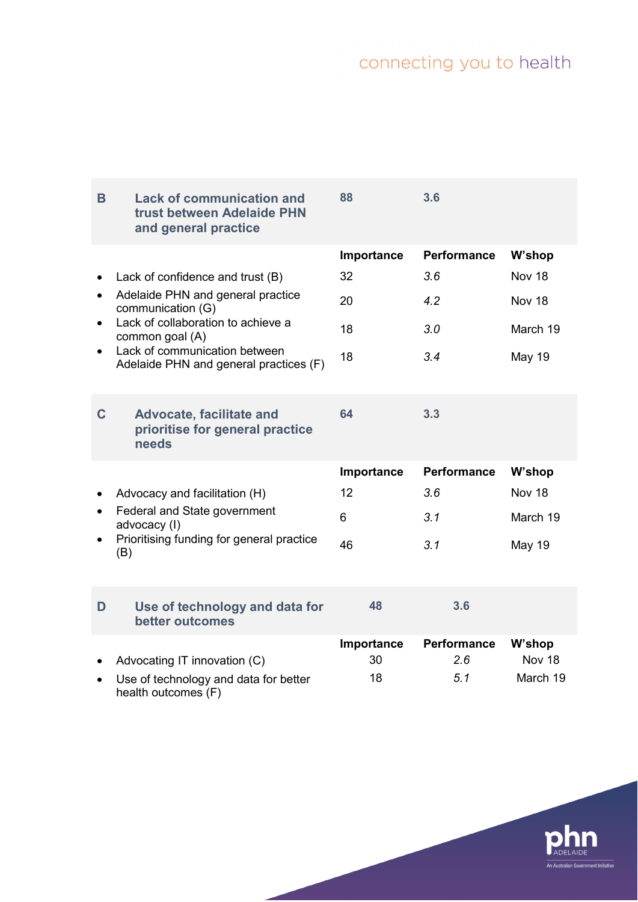| B                      | <b>Lack of communication and</b><br>trust between Adelaide PHN<br>and general practice                                                                                                                                         | 88                                 | 3.6                                            |                                                         |
|------------------------|--------------------------------------------------------------------------------------------------------------------------------------------------------------------------------------------------------------------------------|------------------------------------|------------------------------------------------|---------------------------------------------------------|
| $\bullet$<br>$\bullet$ | Lack of confidence and trust (B)<br>Adelaide PHN and general practice<br>communication (G)<br>Lack of collaboration to achieve a<br>common goal (A)<br>Lack of communication between<br>Adelaide PHN and general practices (F) | Importance<br>32<br>20<br>18<br>18 | <b>Performance</b><br>3.6<br>4.2<br>3.0<br>3.4 | W'shop<br>Nov 18<br>Nov 18<br>March 19<br><b>May 19</b> |
| $\mathbf C$            | <b>Advocate, facilitate and</b><br>prioritise for general practice<br>needs                                                                                                                                                    | 64                                 | 3.3                                            |                                                         |
|                        | Advocacy and facilitation (H)<br>Federal and State government<br>advocacy (I)<br>Prioritising funding for general practice<br>(B)                                                                                              | Importance<br>12<br>6<br>46        | <b>Performance</b><br>3.6<br>3.1<br>3.1        | W'shop<br>Nov 18<br>March 19<br><b>May 19</b>           |
| D                      | Use of technology and data for<br>better outcomes                                                                                                                                                                              | 48                                 | 3.6                                            |                                                         |
|                        | Advocating IT innovation (C)<br>Use of technology and data for better<br>health outcomes (F)                                                                                                                                   | Importance<br>30<br>18             | Performance<br>2.6<br>5.1                      | W'shop<br>Nov 18<br>March 19                            |

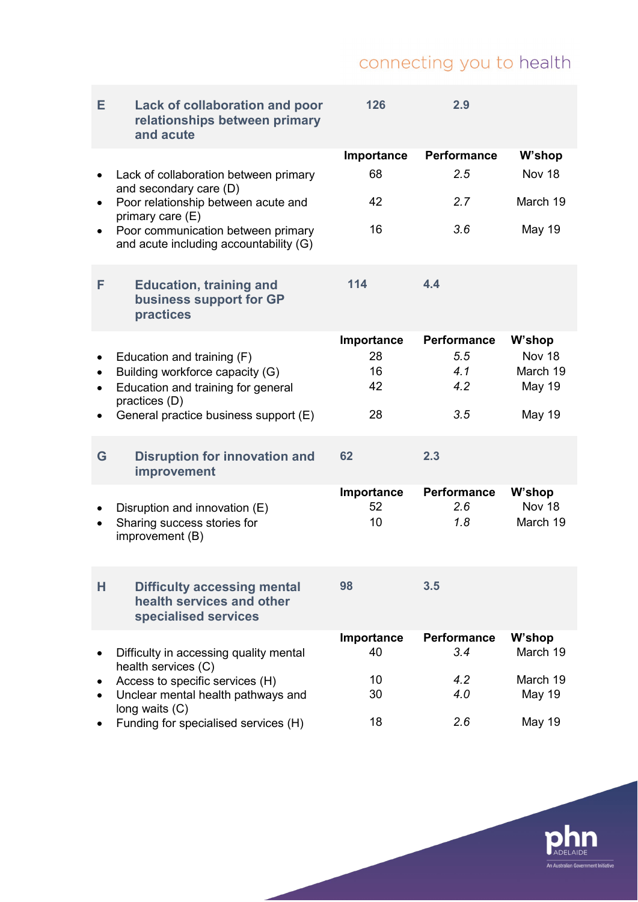| Е         | <b>Lack of collaboration and poor</b><br>relationships between primary<br>and acute     | 126        | 2.9                |               |
|-----------|-----------------------------------------------------------------------------------------|------------|--------------------|---------------|
|           |                                                                                         | Importance | <b>Performance</b> | W'shop        |
|           | Lack of collaboration between primary<br>and secondary care (D)                         | 68         | 2.5                | Nov 18        |
|           | Poor relationship between acute and<br>primary care (E)                                 | 42         | 2.7                | March 19      |
| $\bullet$ | Poor communication between primary<br>and acute including accountability (G)            | 16         | 3.6                | <b>May 19</b> |
| F         | <b>Education, training and</b><br>business support for GP<br>practices                  | 114        | 4.4                |               |
|           |                                                                                         | Importance | <b>Performance</b> | W'shop        |
|           | Education and training (F)                                                              | 28         | 5.5                | <b>Nov 18</b> |
| $\bullet$ | Building workforce capacity (G)                                                         | 16         | 4.1                | March 19      |
|           | Education and training for general                                                      | 42         | 4.2                | <b>May 19</b> |
|           | practices (D)                                                                           |            |                    |               |
| ٠         | General practice business support (E)                                                   | 28         | 3.5                | <b>May 19</b> |
|           |                                                                                         |            |                    |               |
| G         | <b>Disruption for innovation and</b><br>improvement                                     | 62         | 2.3                |               |
|           |                                                                                         | Importance | Performance        | W'shop        |
|           | Disruption and innovation (E)                                                           | 52         | 2.6                | <b>Nov 18</b> |
|           | Sharing success stories for<br>improvement (B)                                          | 10         | 1.8                | March 19      |
|           |                                                                                         | 98         | 3.5                |               |
| н         | <b>Difficulty accessing mental</b><br>health services and other<br>specialised services |            |                    |               |
|           |                                                                                         | Importance | <b>Performance</b> | W'shop        |
|           | Difficulty in accessing quality mental<br>health services (C)                           | 40         | 3.4                | March 19      |
|           | Access to specific services (H)                                                         | 10         | 4.2                | March 19      |
|           | Unclear mental health pathways and<br>long waits (C)                                    | 30         | 4.0                | <b>May 19</b> |
|           | Funding for specialised services (H)                                                    | 18         | 2.6                | May 19        |

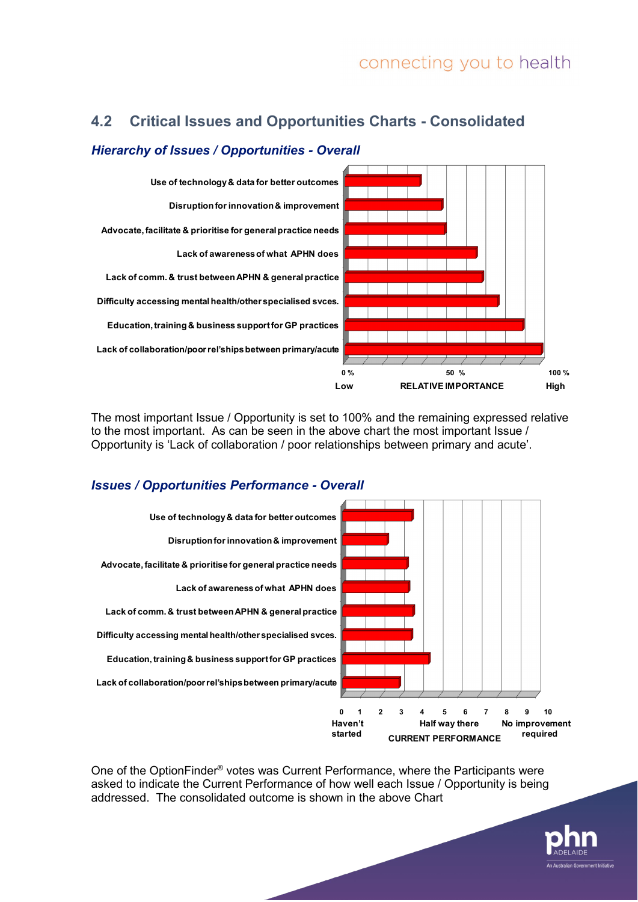### **4.2 Critical Issues and Opportunities Charts - Consolidated**



#### *Hierarchy of Issues / Opportunities - Overall*

The most important Issue / Opportunity is set to 100% and the remaining expressed relative to the most important. As can be seen in the above chart the most important Issue / Opportunity is 'Lack of collaboration / poor relationships between primary and acute'.

#### *Issues / Opportunities Performance - Overall*



One of the OptionFinder® votes was Current Performance, where the Participants were asked to indicate the Current Performance of how well each Issue / Opportunity is being addressed. The consolidated outcome is shown in the above Chart

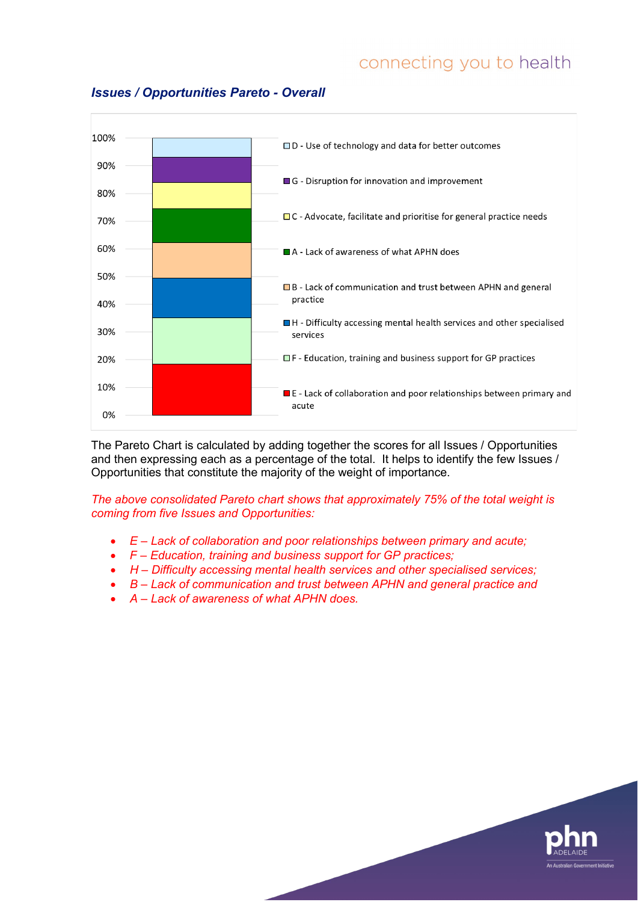

#### *Issues / Opportunities Pareto - Overall*

The Pareto Chart is calculated by adding together the scores for all Issues / Opportunities and then expressing each as a percentage of the total. It helps to identify the few Issues / Opportunities that constitute the majority of the weight of importance.

*The above consolidated Pareto chart shows that approximately 75% of the total weight is coming from five Issues and Opportunities:*

- *E – Lack of collaboration and poor relationships between primary and acute;*
- *F – Education, training and business support for GP practices;*
- *H – Difficulty accessing mental health services and other specialised services;*
- *B – Lack of communication and trust between APHN and general practice and*
- *A – Lack of awareness of what APHN does.*

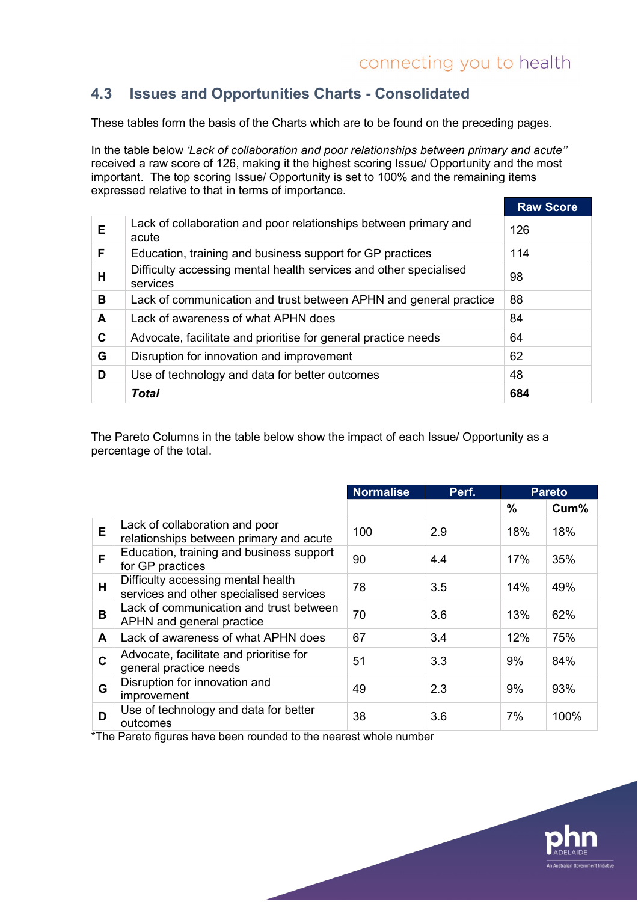# **4.3 Issues and Opportunities Charts - Consolidated**

These tables form the basis of the Charts which are to be found on the preceding pages.

In the table below *'Lack of collaboration and poor relationships between primary and acute''* received a raw score of 126, making it the highest scoring Issue/ Opportunity and the most important. The top scoring Issue/ Opportunity is set to 100% and the remaining items expressed relative to that in terms of importance.

|   |                                                                               | <b>Raw Score</b> |
|---|-------------------------------------------------------------------------------|------------------|
| E | Lack of collaboration and poor relationships between primary and<br>acute     | 126              |
| F | Education, training and business support for GP practices                     | 114              |
| н | Difficulty accessing mental health services and other specialised<br>services | 98               |
| в | Lack of communication and trust between APHN and general practice             | 88               |
| A | Lack of awareness of what APHN does                                           | 84               |
| C | Advocate, facilitate and prioritise for general practice needs                | 64               |
| G | Disruption for innovation and improvement                                     | 62               |
| D | Use of technology and data for better outcomes                                | 48               |
|   | <b>Total</b>                                                                  | 684              |

The Pareto Columns in the table below show the impact of each Issue/ Opportunity as a percentage of the total.

|   |                                                                               | <b>Normalise</b> | Perf. | <b>Pareto</b> |      |
|---|-------------------------------------------------------------------------------|------------------|-------|---------------|------|
|   |                                                                               |                  |       | %             | Cum% |
| E | Lack of collaboration and poor<br>relationships between primary and acute     | 100              | 2.9   | 18%           | 18%  |
| F | Education, training and business support<br>for GP practices                  | 90               | 4.4   | 17%           | 35%  |
| H | Difficulty accessing mental health<br>services and other specialised services | 78               | 3.5   | 14%           | 49%  |
| B | Lack of communication and trust between<br>APHN and general practice          | 70               | 3.6   | 13%           | 62%  |
| A | Lack of awareness of what APHN does                                           | 67               | 3.4   | 12%           | 75%  |
| C | Advocate, facilitate and prioritise for<br>general practice needs             | 51               | 3.3   | 9%            | 84%  |
| G | Disruption for innovation and<br>improvement                                  | 49               | 2.3   | 9%            | 93%  |
| D | Use of technology and data for better<br>outcomes                             | 38               | 3.6   | 7%            | 100% |

\*The Pareto figures have been rounded to the nearest whole number

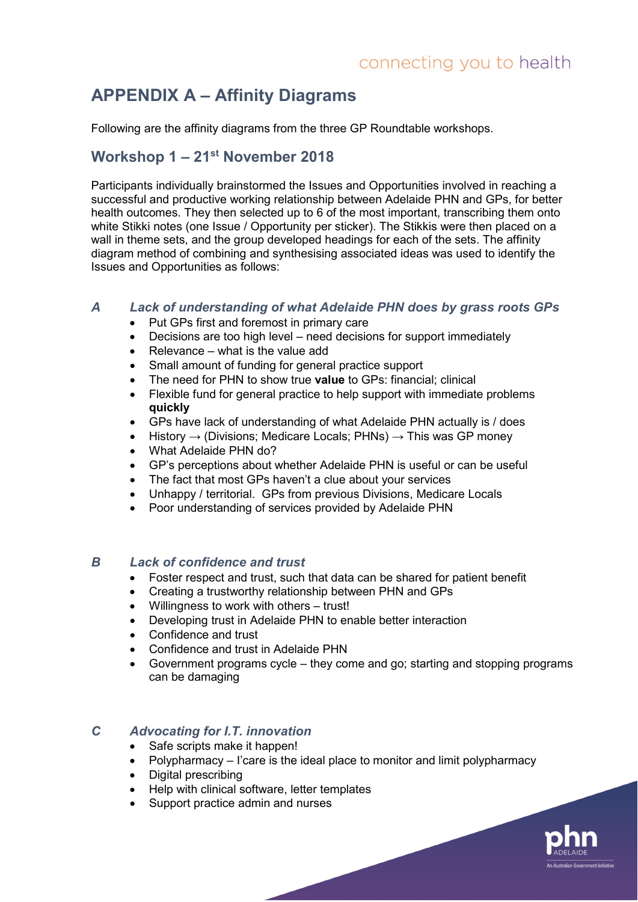# **APPENDIX A – Affinity Diagrams**

Following are the affinity diagrams from the three GP Roundtable workshops.

#### **Workshop 1 – 21st November 2018**

Participants individually brainstormed the Issues and Opportunities involved in reaching a successful and productive working relationship between Adelaide PHN and GPs, for better health outcomes. They then selected up to 6 of the most important, transcribing them onto white Stikki notes (one Issue / Opportunity per sticker). The Stikkis were then placed on a wall in theme sets, and the group developed headings for each of the sets. The affinity diagram method of combining and synthesising associated ideas was used to identify the Issues and Opportunities as follows:

#### *A Lack of understanding of what Adelaide PHN does by grass roots GPs*

- Put GPs first and foremost in primary care
- Decisions are too high level need decisions for support immediately
- Relevance what is the value add
- Small amount of funding for general practice support
- The need for PHN to show true **value** to GPs: financial; clinical
- Flexible fund for general practice to help support with immediate problems **quickly**
- GPs have lack of understanding of what Adelaide PHN actually is / does
- History  $\rightarrow$  (Divisions; Medicare Locals; PHNs)  $\rightarrow$  This was GP money
- What Adelaide PHN do?
- GP's perceptions about whether Adelaide PHN is useful or can be useful
- The fact that most GPs haven't a clue about your services
- Unhappy / territorial. GPs from previous Divisions, Medicare Locals
- Poor understanding of services provided by Adelaide PHN

#### *B Lack of confidence and trust*

- Foster respect and trust, such that data can be shared for patient benefit
- Creating a trustworthy relationship between PHN and GPs
- Willingness to work with others trust!
- Developing trust in Adelaide PHN to enable better interaction
- Confidence and trust
- Confidence and trust in Adelaide PHN
- Government programs cycle they come and go; starting and stopping programs can be damaging

#### *C Advocating for I.T. innovation*

- Safe scripts make it happen!
- Polypharmacy I'care is the ideal place to monitor and limit polypharmacy

n Government Initiative

- Digital prescribing
- Help with clinical software, letter templates
- Support practice admin and nurses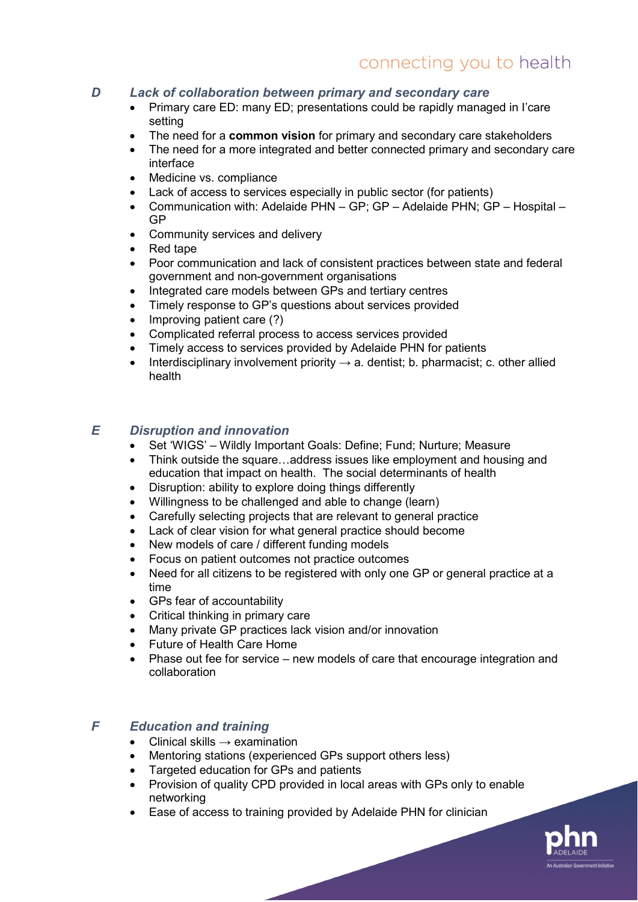#### *D Lack of collaboration between primary and secondary care*

- Primary care ED: many ED; presentations could be rapidly managed in I'care setting
- The need for a **common vision** for primary and secondary care stakeholders
- The need for a more integrated and better connected primary and secondary care interface
- Medicine vs. compliance
- Lack of access to services especially in public sector (for patients)
- Communication with: Adelaide PHN GP; GP Adelaide PHN; GP Hospital GP
- Community services and delivery
- Red tape
- Poor communication and lack of consistent practices between state and federal government and non-government organisations
- Integrated care models between GPs and tertiary centres
- Timely response to GP's questions about services provided
- Improving patient care (?)
- Complicated referral process to access services provided
- Timely access to services provided by Adelaide PHN for patients
- Interdisciplinary involvement priority  $\rightarrow$  a. dentist; b. pharmacist; c. other allied health

#### *E Disruption and innovation*

- Set 'WIGS' Wildly Important Goals: Define: Fund: Nurture: Measure
- Think outside the square…address issues like employment and housing and education that impact on health. The social determinants of health
- Disruption: ability to explore doing things differently
- Willingness to be challenged and able to change (learn)
- Carefully selecting projects that are relevant to general practice
- Lack of clear vision for what general practice should become
- New models of care / different funding models
- Focus on patient outcomes not practice outcomes
- Need for all citizens to be registered with only one GP or general practice at a time
- GPs fear of accountability
- Critical thinking in primary care<br>• Many private GP practices lack
- Many private GP practices lack vision and/or innovation
- Future of Health Care Home
- Phase out fee for service new models of care that encourage integration and collaboration

#### *F Education and training*

- Clinical skills  $\rightarrow$  examination
- Mentoring stations (experienced GPs support others less)
- Targeted education for GPs and patients
- Provision of quality CPD provided in local areas with GPs only to enable networking
- Ease of access to training provided by Adelaide PHN for clinician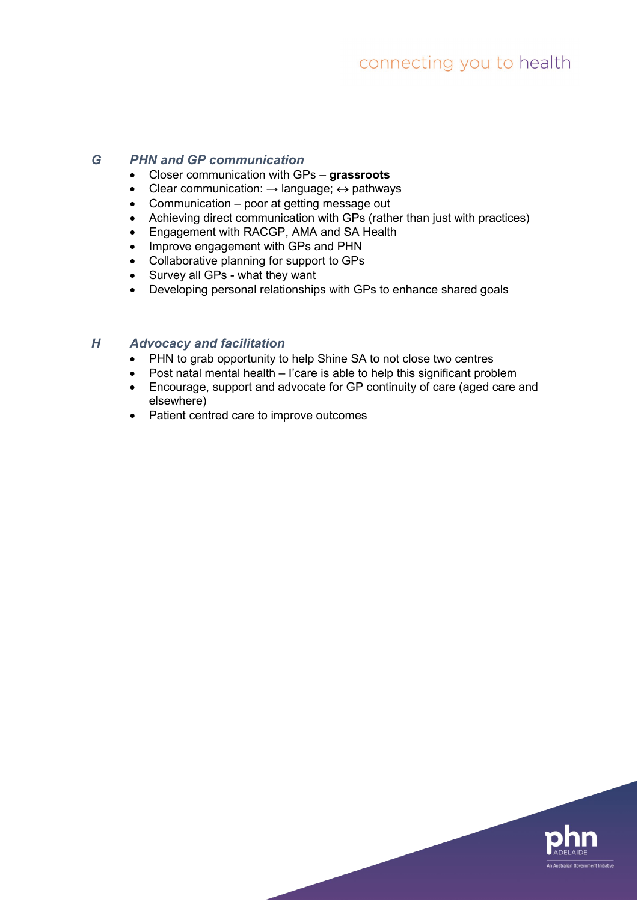#### *G PHN and GP communication*

- Closer communication with GPs **grassroots**
- Clear communication:  $\rightarrow$  language;  $\leftrightarrow$  pathways
- Communication poor at getting message out
- Achieving direct communication with GPs (rather than just with practices)
- Engagement with RACGP, AMA and SA Health
- Improve engagement with GPs and PHN
- Collaborative planning for support to GPs
- Survey all GPs what they want
- Developing personal relationships with GPs to enhance shared goals

#### *H Advocacy and facilitation*

- PHN to grab opportunity to help Shine SA to not close two centres
- Post natal mental health I'care is able to help this significant problem
- Encourage, support and advocate for GP continuity of care (aged care and elsewhere)
- Patient centred care to improve outcomes

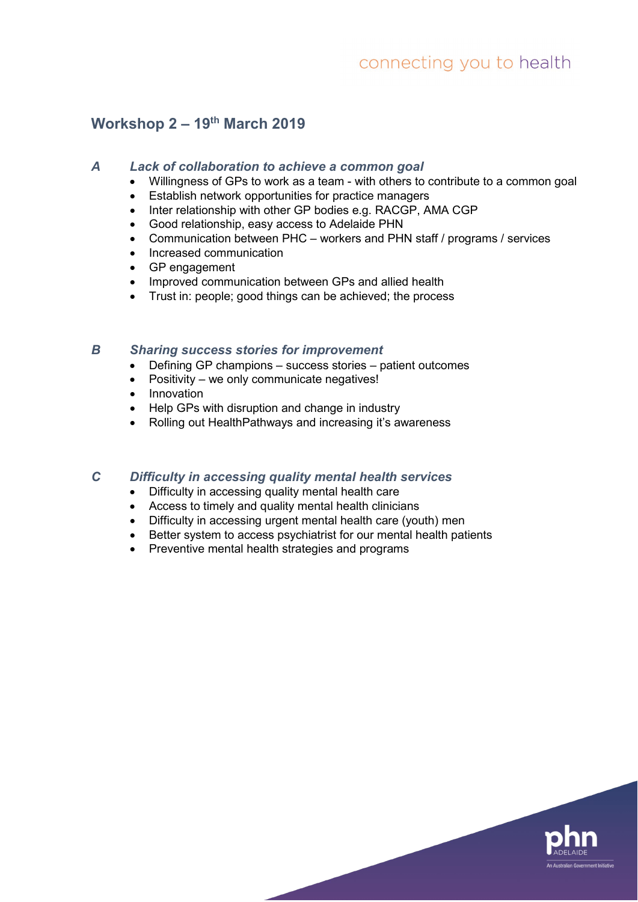# **Workshop 2 – 19th March 2019**

#### *A Lack of collaboration to achieve a common goal*

- Willingness of GPs to work as a team with others to contribute to a common goal
- Establish network opportunities for practice managers
- Inter relationship with other GP bodies e.g. RACGP, AMA CGP
- Good relationship, easy access to Adelaide PHN
- Communication between PHC workers and PHN staff / programs / services
- Increased communication
- GP engagement
- Improved communication between GPs and allied health
- Trust in: people; good things can be achieved; the process

#### *B Sharing success stories for improvement*

- Defining GP champions success stories patient outcomes
- Positivity we only communicate negatives!
- Innovation
- Help GPs with disruption and change in industry
- Rolling out HealthPathways and increasing it's awareness

#### *C Difficulty in accessing quality mental health services*

- Difficulty in accessing quality mental health care
- Access to timely and quality mental health clinicians
- Difficulty in accessing urgent mental health care (youth) men
- Better system to access psychiatrist for our mental health patients
- Preventive mental health strategies and programs

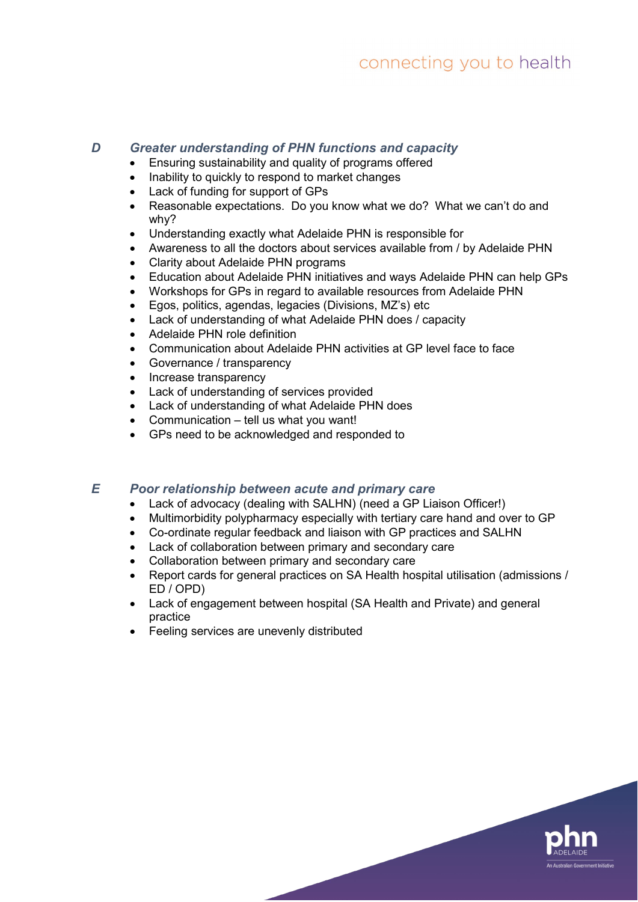#### *D Greater understanding of PHN functions and capacity*

- Ensuring sustainability and quality of programs offered
- Inability to quickly to respond to market changes
- Lack of funding for support of GPs
- Reasonable expectations. Do you know what we do? What we can't do and why?
- Understanding exactly what Adelaide PHN is responsible for
- Awareness to all the doctors about services available from / by Adelaide PHN
- Clarity about Adelaide PHN programs
- Education about Adelaide PHN initiatives and ways Adelaide PHN can help GPs
- Workshops for GPs in regard to available resources from Adelaide PHN<br>• Egos, politics. agendas. legacies (Divisions. M7's) etc.
- Egos, politics, agendas, legacies (Divisions, MZ's) etc
- Lack of understanding of what Adelaide PHN does / capacity
- Adelaide PHN role definition
- Communication about Adelaide PHN activities at GP level face to face
- Governance / transparency
- Increase transparency
- Lack of understanding of services provided
- Lack of understanding of what Adelaide PHN does
- Communication tell us what you want!
- GPs need to be acknowledged and responded to

#### *E Poor relationship between acute and primary care*

- Lack of advocacy (dealing with SALHN) (need a GP Liaison Officer!)
- Multimorbidity polypharmacy especially with tertiary care hand and over to GP
- Co-ordinate regular feedback and liaison with GP practices and SALHN
- Lack of collaboration between primary and secondary care
- Collaboration between primary and secondary care
- Report cards for general practices on SA Health hospital utilisation (admissions / ED / OPD)
- Lack of engagement between hospital (SA Health and Private) and general practice
- Feeling services are unevenly distributed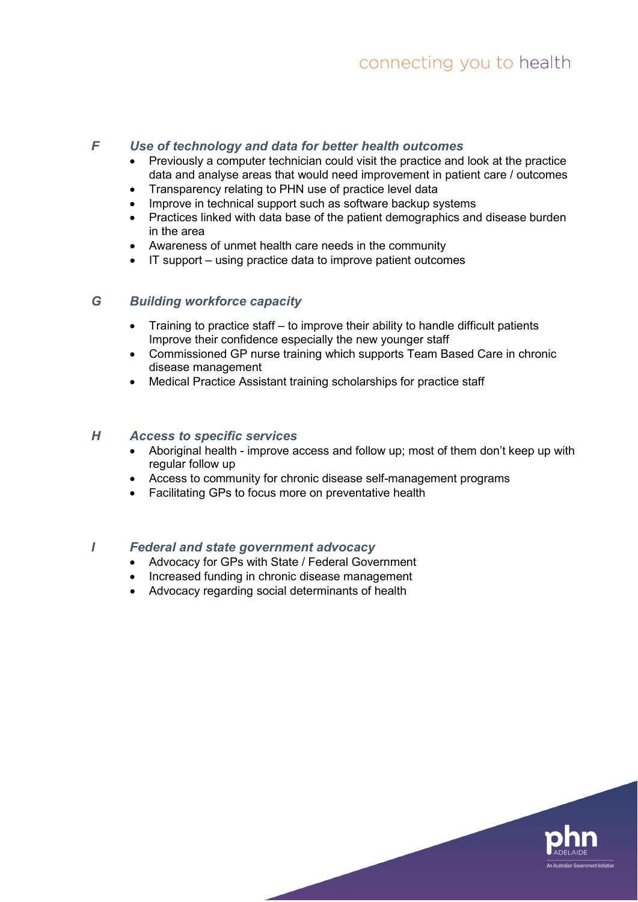#### *F Use of technology and data for better health outcomes*

- Previously a computer technician could visit the practice and look at the practice data and analyse areas that would need improvement in patient care / outcomes
- Transparency relating to PHN use of practice level data
- Improve in technical support such as software backup systems
- Practices linked with data base of the patient demographics and disease burden in the area
- Awareness of unmet health care needs in the community
- IT support using practice data to improve patient outcomes

#### *G Building workforce capacity*

- Training to practice staff to improve their ability to handle difficult patients Improve their confidence especially the new younger staff
- Commissioned GP nurse training which supports Team Based Care in chronic disease management
- Medical Practice Assistant training scholarships for practice staff

#### *H Access to specific services*

- Aboriginal health improve access and follow up; most of them don't keep up with regular follow up
- Access to community for chronic disease self-management programs
- Facilitating GPs to focus more on preventative health

#### *I Federal and state government advocacy*

- Advocacy for GPs with State / Federal Government
- Increased funding in chronic disease management
- Advocacy regarding social determinants of health

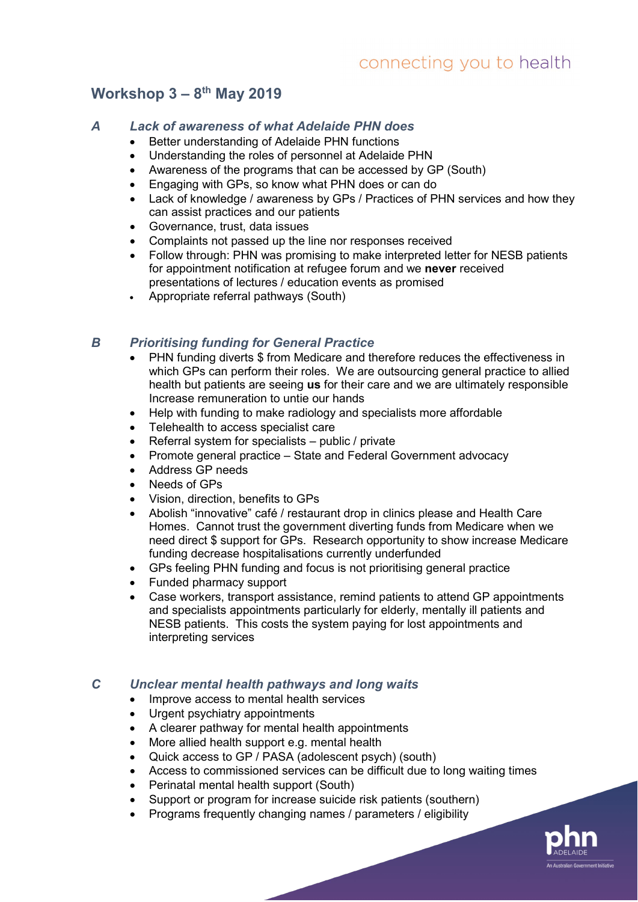# **Workshop 3 – 8th May 2019**

#### *A Lack of awareness of what Adelaide PHN does*

- Better understanding of Adelaide PHN functions
- Understanding the roles of personnel at Adelaide PHN
- Awareness of the programs that can be accessed by GP (South)
- Engaging with GPs, so know what PHN does or can do
- Lack of knowledge / awareness by GPs / Practices of PHN services and how they can assist practices and our patients
- Governance, trust, data issues
- Complaints not passed up the line nor responses received
- Follow through: PHN was promising to make interpreted letter for NESB patients for appointment notification at refugee forum and we **never** received presentations of lectures / education events as promised
- Appropriate referral pathways (South)

#### *B Prioritising funding for General Practice*

- PHN funding diverts \$ from Medicare and therefore reduces the effectiveness in which GPs can perform their roles. We are outsourcing general practice to allied health but patients are seeing **us** for their care and we are ultimately responsible Increase remuneration to untie our hands
- Help with funding to make radiology and specialists more affordable
- Telehealth to access specialist care
- Referral system for specialists public / private
- Promote general practice State and Federal Government advocacy
- Address GP needs
- Needs of GPs
- Vision, direction, benefits to GPs
- Abolish "innovative" café / restaurant drop in clinics please and Health Care Homes. Cannot trust the government diverting funds from Medicare when we need direct \$ support for GPs. Research opportunity to show increase Medicare funding decrease hospitalisations currently underfunded
- GPs feeling PHN funding and focus is not prioritising general practice
- Funded pharmacy support
- Case workers, transport assistance, remind patients to attend GP appointments and specialists appointments particularly for elderly, mentally ill patients and NESB patients. This costs the system paying for lost appointments and interpreting services

#### *C Unclear mental health pathways and long waits*

- Improve access to mental health services
- Urgent psychiatry appointments
- A clearer pathway for mental health appointments
- More allied health support e.g. mental health
- Quick access to GP / PASA (adolescent psych) (south)
- Access to commissioned services can be difficult due to long waiting times
- Perinatal mental health support (South)
- Support or program for increase suicide risk patients (southern)
- Programs frequently changing names / parameters / eligibility

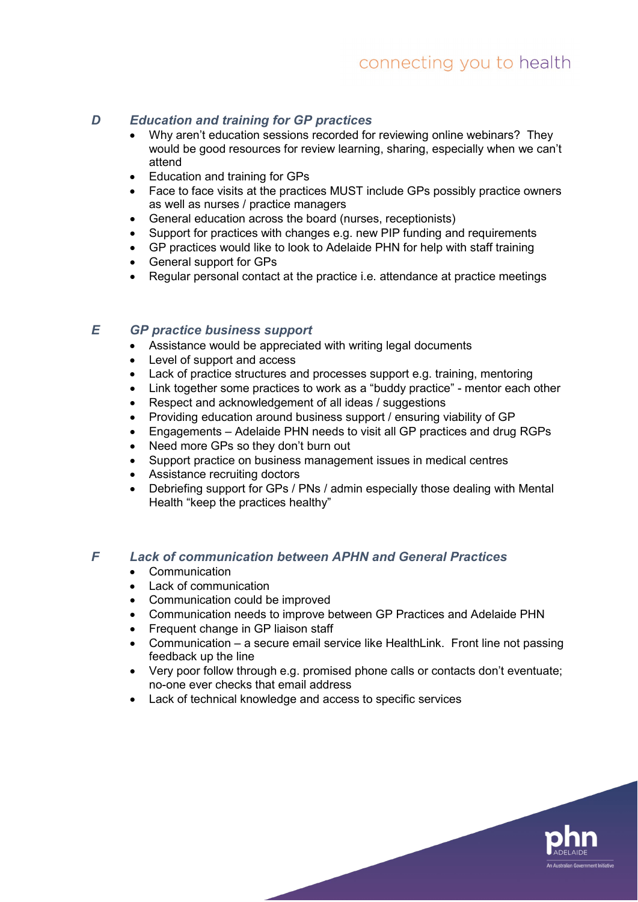#### *D Education and training for GP practices*

- Why aren't education sessions recorded for reviewing online webinars? They would be good resources for review learning, sharing, especially when we can't attend
- Education and training for GPs
- Face to face visits at the practices MUST include GPs possibly practice owners as well as nurses / practice managers
- General education across the board (nurses, receptionists)
- Support for practices with changes e.g. new PIP funding and requirements
- GP practices would like to look to Adelaide PHN for help with staff training
- General support for GPs
- Regular personal contact at the practice i.e. attendance at practice meetings

#### *E GP practice business support*

- Assistance would be appreciated with writing legal documents
- Level of support and access
- Lack of practice structures and processes support e.g. training, mentoring
- Link together some practices to work as a "buddy practice" mentor each other
- Respect and acknowledgement of all ideas / suggestions
- Providing education around business support / ensuring viability of GP
- Engagements Adelaide PHN needs to visit all GP practices and drug RGPs
- Need more GPs so they don't burn out
- Support practice on business management issues in medical centres
- Assistance recruiting doctors
- Debriefing support for GPs / PNs / admin especially those dealing with Mental Health "keep the practices healthy"

#### *F Lack of communication between APHN and General Practices*

- Communication
- Lack of communication
- Communication could be improved
- Communication needs to improve between GP Practices and Adelaide PHN
- Frequent change in GP liaison staff
- Communication a secure email service like HealthLink. Front line not passing feedback up the line
- Very poor follow through e.g. promised phone calls or contacts don't eventuate; no-one ever checks that email address

alian Government Initiativi

• Lack of technical knowledge and access to specific services